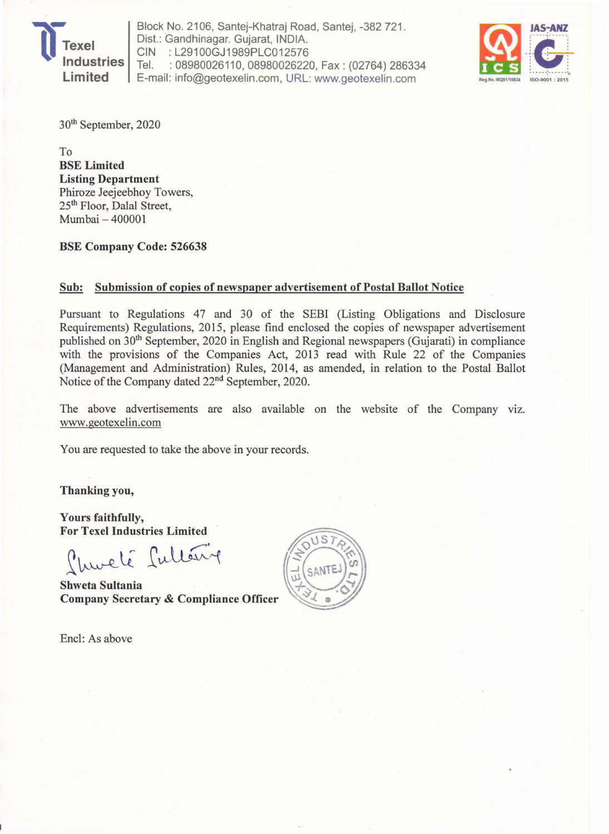

Block No. 2106, Santej-Khatraj Road, Santej, -382 721. Dist.: Gandhinagar. Gujarat, INDIA. CIN : L29100GJ1989PLC012576<br>Tel. : 08980026110. 08980026220 : 08980026110, 08980026220, Fax: (02764) 286334 Block No. 2106, Santej-Khatraj Road, Santej, -382 721.<br>Dist.: Gandhinagar. Gujarat, INDIA.<br>CIN : L29100GJ1989PLC012576<br>Tel. : 08980026110, 08980026220, Fax : (02764) 286334<br>E-mail: info@geotexelin.com, URL: www.geotexelin.



30th September, 2020

To BSE Limited Listing Department Phiroze Jeejeebhoy Towers, 25th Floor, Dalal Street, Mumbai - 400001

BSE Company Code: 526638

### Sub: Submission of copies of newspaper advertisement of Postal Ballot Notice

Pursuant to Regulations 47 and 30 of the SEBI (Listing Obligations and Disclosure Requirements) Regulations, 2015, please find enclosed the copies of newspaper advertisement published on 30th September, 2020 in English and Regional newspapers (Gujarati) in compliance with the provisions of the Companies Act, 2013 read with Rule 22 of the Companies (Management and Administration) Rules, 2014, as amended, in relation to the Postal Ballot Notice of the Company dated 22nd September, 2020.

The above advertisements are also available on the website of the Company viz. www.geotexelin.com

You are requested to take the above in your records.

Thanking you,

Yours faithfully, **For Texel Industries Limited** 

Churché Culterix

**Shweta Sultania Company Secretary & Compliance Officer** 

Enc1: As above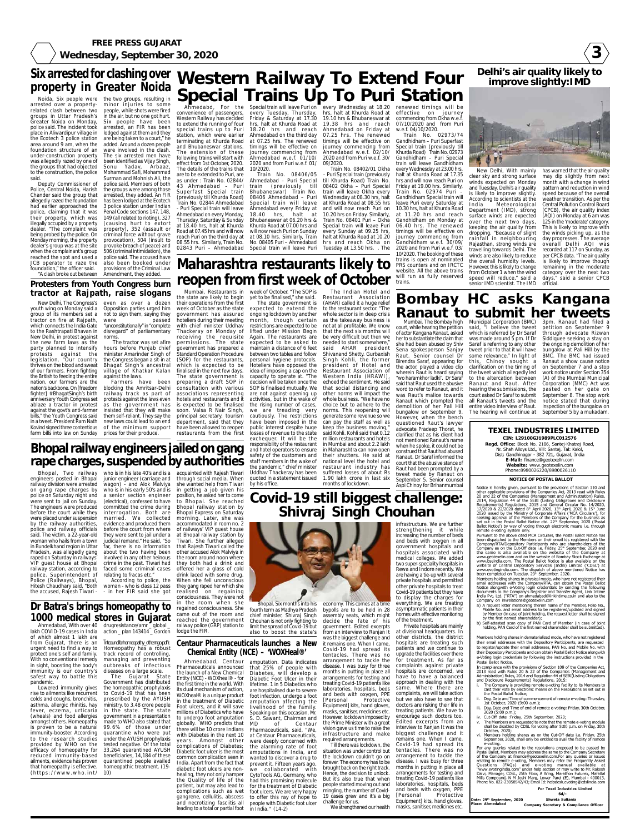**3**

**FREE PRESS GUJARAT Wednesday, September 30, 2020**

### **Delhi's air quality likely to improve slightly:IMD**



New Delhi, With mainly clear sky and strong surface winds expected on Monday and Tuesday, Delhi's air quality is likely to improve slightly. According to scientists at the India Meteorological Department (IMD), strong surface winds are expected over the next two days, keeping the air quality from dropping. "Because of slight rainfall in neighbouring Rajasthan, strong winds are travelling towards Delhi. The winds are also likely to reduce the overall humidity levels. However, this is likely to change from October 1 when the wind speed will reduce," said a senior IMD scientist. The IMD

has warned that the air quality may dip slightly from next month with a change in wind pattern and reduction in wind speed because of the overall weather transition. As per the Central Pollution Control Board (CPCB), the air quality index (AQI) on Monday at 6 am was 125 in the 'moderate' category. This is likely to improve with the winds picking up, as the day progresses. The average overall Delhi AQI was recorded at 117 on Sunday, as per CPCB data. "The air quality is likely to improve though remaining in the moderate category over the next two days," said a senior CPCB official.

# **Western Railway To Extend Four Special Trains Up To Puri Station**

Ahmedabd, For the Special train will leave Puri on every Wednesday at 18.20 renewed timings will be hrs, halt at Khurda Road at 19.10 hrs & Bhubaneswar at 19.38 hrs and reach Ahmedabad on Friday at 07.25 hrs. The renewed timings will be effective on journey commencing from Ahmedabad w.e.f. 02/10/ 2020 and from Puri w.e.f. 30/

convenience of passengers, every Tuesday, Thursday, Western Railway has decided to extend the running of four special trains up to Puri station, which were earlier terminating at Khurda Road and Bhubaneswar stations. The extension of these following trains will start with effect from 1st October, 2020. The details of the trains that are to be extended to Puri, are as under : Train No. 02844/ 43 Ahmedabad – Puri Superfast Special train (previously till Khurda Road) Train No. 02844 Ahmedabad - Puri Special train will leave Ahmedabad on every Monday, Thursday, Saturday & Sunday Friday & Saturday at 17.30 hrs, halt at Khurda Road at 18.20 hrs and reach Ahmedabad on the third day at 07.25 hrs. The renewed timings will be effective on journey commencing from Ahmedabad w.e.f. 01/10/ 2020 and from Puri w.e.f. 01/ 10/2020. Train No. 08406/05 Ahmedabad – Puri Special train (previously till Bhubaneswar) Train No.

02843 Puri – Ahmedabad

at 18.40 hrs, halt at Khurda Road at 07.45 hrs and will now reach Puri on the third day at 08.55 hrs. Similarly, Train No. 08406 Ahmedabad – Puri Special train will leave Ahmedabad every Friday at 18.40 hrs, halt at Bhubaneswar at 06.20 hrs & Khurda Road at 07.00 hrs and will now reach Puri on Sunday at 08.10 hrs. Similarly, Train No. 08405 Puri – Ahmedabad

Special train will leave Puri 09/2020. Train No. 08402/01 Okha – Puri Special train (previously till Khurda Road) Train No. 08402 Okha – Puri Special train will leave Okha every Wednesday at 08.30 hrs, halt at Khurda Road at 08.55 hrs and will now reach Puri on 10.20 hrs on Friday. Similarly, Train No. 08401 Puri – Okha Special train will leave Puri every Sunday at 09.25 hrs, halt at Khurda Road at 10.20 hrs and reach Okha on Tuesday at 13.50 hrs. . The

effective on journey commencing from Okha w.e.f. 07/10/2020 and from Puri w.e.f. 04/10/2020.

youth wing on Monday said a Opposition parties urged him group of its members set a not to sign them, saying they tractor on fire at Rajpath, which connects the India Gate to the Rashtrapati Bhavan in New Delhi, in protest against the new farm laws as the party planned to intensify protests against the legislation. "Our country thrives on the blood and sweat of our farmers. From fighting the British to feeding the entire nation, our farmers are the nation's backbone. On [freedom fighter] #BhagatSingh's birth anniversary Youth Congress set ablaze a tractor in protest against the govt's anti-farmer bills," the Youth Congress said in a tweet. President Ram Nath Kovind signed three contentious of the minimum support farm bills into law on Sunday prices for their produce.

Train No. 02973/74 Gandhidham – Puri Superfast Special train (previously till Khurda Road) Train No. 02973 Gandhidham – Puri Special train will leave Gandhidham every Wednesday at 23.00 hrs, halt at Khurda Road at 17.35 hrs and will now reach Puri on Friday at 19.00 hrs. Similarly, Train No. 02974 Puri – Gandhidham Special train will leave Puri every Saturday at 10.30 hrs, halt at Khurda Road at 11.20 hrs and reach Gandhidham on Monday at 06.40 hrs. The renewed timings will be effective on journey commencing from Gandhidham w.e.f. 30/09/ 2020 and from Puri w.e.f. 03/ 10/2020. The booking of these trains is open at nominated PRS counters and on IRCTC website. All the above trains

Ahmedabad, With over 40

lakh COVID-19 cases in India of which almost 1 lakh are from Gujarat, there is an urgent need to find a way to protect one's self and family. With no conventional remedy in sight, boosting the body's immunity is our country's diseases on a large scale. safest way to battle this action \_ plan 143414 \_ Gordon \_

pandemic. Lowered immunity gives rise to ailments like recurrent colds and coughs, bronchitis, asthma, allergic rhinitis, hay fever, eczema, urticaria in the state. The state (wheals) and food allergies amongst others. Homeopathy is proven to be a natural immunity-booster. According to the research studies provided by WHO on the efficacy of homeopathy for reduced immunity-based ailments, evidence has proven that homeopathy is effective. (https://www.who.int/

Intcouncilforhomeopathy\_otherngo.pdf): Homeopathy has a robust track record of controlling, managing and preventing outbreaks of infectious

The Gujarat State

Government has distributed the homeopathic prophylaxis to Covid-19 that has been prescribed by the AYUSH ministry, to 3.48 crore people government in a presentation made to WHO also stated that 99.6% of those under quarantine who were put under the AYUSH prophylaxis tested negative. Of the total 33,264 quarantined AYUSH beneficiaries, 14,184 of these

quarantined people availed homeopathic treatment. (19-

10)

### **Centaur Pharmaceuticals launches a New Chemical Entity (NCE) – 'WOXHeal®'**

Ahmedabad, Centaur amputation. Data indicates Pharmaceuticals announced the launch of a New Chemical Entity (NCE) - WOXheal® - for the first time in the world. With its dual mechanism of action, WOXheal® is a unique product in the treatment of Diabetic Foot ulcers, and it will save millions of Diabetics who have to undergo foot amputation S. D. Sawant, Chairman and globally. WHO predicts that there will be 10 crore Indians Pharmaceuticals, said, "We, with Diabetes in the next 10 years. Amongst other complications of Diabetes; Diabetic foot ulcer is the most common complication seen in India. Apart from the fact that diabetic foot ulcers are nonhealing, they not only hamper the Quality of life of the patient, but may also lead to complications such as wet gangrene, cellulitis, abscess and necrotizing fasciitis all leading to a total or partial foot people with Diabetic foot ulcer in India." (14-2)

that 25% of people with Diabetes, will develop a Diabetic Foot Ulcer in their lifetime. 1 in 5 Diabetics who are hospitalised due to severe foot infection, undergo a foot amputation affecting the livelihood of the family. Speaking on this occasion, Mr. of Centaur at Centaur Pharmaceuticals, were deeply concerned with the alarming rate of foot amputations in India, and wanted to discover a drug to prevent it. Fifteen years ago, we collaborated with CytoTools AG, Germany, who had this promising molecule for the treatment of Diabetic foot ulcers. We are very happy to offer this ray of hope to

## **Six arrested for clashing over property in Greater Noida**

**tractor at Rajpath, raise slogans**

New Delhi, The Congress's even as over a dozen were passed "unconstitutionally" in "complete disregard" of parliamentary norms. The tractor was set afire

engineers posted in Bhopal junior engineer (carriage and through social media. When railway division were arrested wagon) - and Alok Malviya were placed under suspension married. We collected railway station, according to faced some criminal cases police. Superintendent of relating to fracas etc." Hitesh Chaudhary said, "Both woman - who is class 12 pass who is in his early 50's and is a senior section engineer (electrical), confessed to have committed the crime during interrogation. Both are evidence and produced them before the court from where they were sent to jail under a judicial remand." He said, "So far, there is no information about the two having been involved in any other heinous crime in the past. Tiwari had According to police, the

hours before Punjab chief minister Amarinder Singh of the Congress began a sit-in at Bhagat Singh's ancestral village of Khatkar Kalan against the laws.

Farmers have been blocking the Amritsar-Delhi railway track as part of protests against the laws even as the government has insisted that they will make them self-reliant. They say the new laws could lead to an end

Noida, Six people were arrested over a propertyrelated clash between two groups in Uttar Pradesh's in the air, but no one got hurt. Greater Noida on Monday, police said. The incident took place in Aliwardipur village in lodged against them and they the Ecotech 3 police station area around 9 am, when the foundation structure of an under-construction property was allegedly razed by one of the groups that had objected to the construction, the police said.

### **Protesters from Youth Congress burn** "A clash broke out between Amendment, they added.

will run as fully reserved trains. Municipal Corporation (BMC)

Deputy Commissioner of Police, Central Noida, Harish Chander said the group that allegedly razed the foundation had earlier approached the police, claiming that it was their property, which was illegally occupied by a property dealer. "The complaint was being probed by the police. On Monday morning, the property dealer's group was at the site when the complainant's group reached the spot and used a JCB operator to raze the also been booked under foundation," the officer said.

the two groups, resulting in minor injuries to some people, while shots were fired

Six people have been arrested, an FIR has been

are being taken to a court," he added. Around a dozen people were involved in the clash. The six arrested men have been identified as Vijay Singh, Sonu Yadav, Arbaaz, Mohammad Safi, Mohammad Surman and Mohnish Ali, the

police said. Members of both the groups were among those arrested, they added. An FIR has been lodged at the Ecotech 3 police station under Indian Penal Code sections 147, 148, 149 (all related to rioting), 327 (causing hurt to extort property), 352 (assault or criminal force without grave provocation), 504 (insult to provoke breach of peace) and 506 (criminal intimidation), the police said. The accused have

provisions of the Criminal Law

# **Maharashtra restaurants likely to reopen from first week of October**

**Dr Batra's brings homeopathy to 1000 medical stores in Gujarat** drugresistance/amr \_ global \_ Bhopal, Two railway who is in his late 40's and is a acquainted with Rajesh Tiwari Uddhav Thackeray has been she wanted help from Tiwari in getting a job given his position, he asked her to come to Bhopal. She reached Bhopal railway station by Bhopal Express on Saturday morning. Later, she was accommodated in room no. 2 of railways' VIP guest house at Bhopal railway station by Tiwari. She further alleged that Rajesh Tiwari called the other accused Alok Malviya in the room around noon where they both had a drink and offered her a glass of cold drink laced with some drug. When she fell unconscious they gang raped her which she realised on regaining consciousness. They were not in the room when she regained consciousness. She came out of the room and reached the government railway police (GRP) station to

Mumbai, Restaurants in week of October. "The SOP is the state are likely to begin yet to be finalised," she said.

> Hoteliers have opposed the idea of imposing a cap on the decision will be taken once the SOP is finalised mutually. We are not against opening up activities, but in the wake of the rising number of cases, we are treading very cautiously. The restrictions have been imposed in the public interest despite huge losses of revenue to the state exchequer. It will be the responsibility of the restaurant and hotel operators to ensure months of lockdown.

The Indian Hotel and Restaurant Association (AHAR) called it a huge relief to the restaurant sector. "The whole sector is in deep crisis as the takeaway business is not at all profitable. We know that the next six months will be very difficult but then we needed to start somewhere," said AHAR president Shivanand Shetty. Gurbaxish Singh Kohli, the former president of Hotel and Restaurant Association of Western India (HRAWI), echoed the sentiment. He said that social distancing and other norms will impact the whole business. "We have no choice but to adhere to the norms. This reopening will generate some revenue so we can pay the staff as well as keep the business moving," said Kohli. Kohli said that 0.12 million restaurants and hotels in Mumbai and about 2.2 lakh in Maharashtra can now open their shutters. He said at national level the hotel and restaurant industry has suffered losses of about Rs 1.90 lakh crore in last six

their operations from the first week of October as the state government has assured hoteliers during their meeting with chief minister Uddhav Thackeray on Monday of receiving the requisite permissions. The state government has prepared a Standard Operation Procedure (SOP) for the restaurants, which is expected to be finalised in the next few days. The state government is capacity to operate at. "The preparing a draft SOP in consultation with various associations representing hotels and restaurants and it is expected to be finalised soon. Valsa R Nair Singh, principal secretary, tourism department, said that they have been allowed to reopen restaurants from the first The state government is expected to extend the ongoing lockdown by another month, though certain restrictions are expected to be lifted under Mission Begin Again. The restaurants are expected to be asked to maintain a distance of 6 feet between two tables and follow personal hygiene protocols. **Bhopal railway engineers jailed on gang**

## **Bombay HC asks Kangana Ranaut to submit her tweets**

safety of the customers and staff members in the wake of the pandemic," chief minister quoted in a statement issued by his office. **rape charges, suspended by authorities**

Mumbai, The Bombay high court, while hearing the petition of actor Kangana Ranaut, asked her to substantiate the claim that she had been abused by Shiv Sena spokesperson Sanjay Raut. Senior counsel Dr Birendra Saraf, appearing for the actor, played a video clip wherein Raut is heard saying "wo haramkhor ladki". Dr Saraf said that Raut used the abusive word to refer to Ranaut, and it was Raut's malice towards Ranaut which prompted the demolition of her Pali Hill bungalow on September 9. However, when the bench questioned Raut's lawyer advocate Pradeep Thorat, he clarified that as his client had not mentioned Ranaut's name when he spoke, it could not be construed that Raut had abused Ranaut. Dr Saraf informed the court that the abusive stance of Raut had been prompted by a tweet made by Ranaut on

September 5. Senior counsel Aspi Chinoy for Brihanmumbai

said, "I believe the tweet which is referred by Dr Saraf was made around 5 pm. If Dr Saraf is referring to any other tweet prior to that it will have some relevance." In light of this, Chinoy sought a clarification on the timing of the tweet which allegedly led to the altercation between Ranaut and Raut. After hearing the submissions, the court asked Dr Saraf to submit all Ranaut's tweets and the entire video interview of Raut. The hearing will continue at September 5 by a mukadam. 3pm. Ranaut had filed a petition on September 9 through advocate Rizwan Siddiquee seeking a stay on the ongoing demolition of her bungalow at Pali Hill by the BMC. The BMC had issued Ranaut a show cause notice on September 7 and a stop work notice under Section 354 (A) of the Mumbai Municipal Corporation (MMC) Act was pasted on her gate on September 8. The stop work notice stated that during inspection of the bungalow on

### **TEXEL INDUSTRIES LIMITED** CIN: L29100GJ1989PLC012576 Regd. Office: Block No. 2106, Santej-Khatraj Road, Nr. Shah Alloys Ltd., Vill: Santej, Tal: Kalol, Dist: Gandhinagar - 382 721, Gujarat, India E-Mail: finance@geotexelin.com Website: www.geotexelin.com Phone:8980026220/8980026110

**NOTICE OF POSTAL BALLOT** 

on gang rape charges by police on Saturday night and were sent to jail on Sunday. The engineers were produced before the court while they by the railway authorities, police and railway officials said. The victim, a 22-year-old woman who hails from a town in Bundelkhand region in Uttar Pradesh, was allegedly gang raped on Saturday in railways' VIP guest house at Bhopal Police (Railways), Bhopal, the accused, Rajesh Tiwari - - in her FIR said she got

lodge the FIR.



**Shivraj Singh Chouhan**

fourth term as Madhya Pradesh chief minister, Shivraj Singh Chouhan is not only fighting to limit the spread of Covid-19 but also to boost the state's

### Bhopal, Six months into his economy. This comes at a time bypolls are to be held in 28 assembly seats, which might decide the fate of his government. Edited excerpts from an interview to Ranjan It was the biggest challenge and it remains one. When I came, Covid-19 had spread its tentacles. There was no arrangement to tackle the disease. I was busy for three months in putting in place all arrangements for testing and

treating Covid-19 patients like laboratories, hospitals, beds and beds with oxygen, PPE [Personal Protective Equipment] kits, hand gloves, masks, sanitiser, medicines etc. However, lockdown imposed by the Prime Minister with a great vision gave us time to raise the infrastructure and make required arrangements.

Till there was lockdown, the situation was under control but the lockdown couldn't go on forever. The economy has to be brought back on the right track. Hence, the decision to unlock. But it's also true that when people started moving out and mingling, the number of Covid-19 cases grew and it's a big challenge for us.

infrastructure. We are further strengthening it while increasing the number of beds and beds with oxygen in all government hospitals and hospitals associated with medical colleges. We added two super-speciality hospitals in Rewa and Indore recently. We are having a tie-up with several private hospitals and permitted other private hospitals to treat Covid-19 patients but they have to display the charges for everything. We are treating asymptomatic patients in their homes with effective monitoring of the treatment.

We strengthened our health masks, sanitiser, medicines etc.

Private hospitals are mainly at divisional headquarters. In other districts, the district hospitals are treating such patients and we continue to upgrade the facilities over there for treatment. As far as complaints against private hospitals are concerned, we have to have a balanced approach in dealing with the same. Where there are complaints, we will take action but we also have to see that doctors are risking their life in treating patients. We have to encourage such doctors too. Edited excerpts from an interview to Ranjan It was the biggest challenge and it remains one. When I came, Covid-19 had spread its tentacles. There was no arrangement to tackle the disease. I was busy for three months in putting in place all arrangements for testing and treating Covid-19 patients like laboratories, hospitals, beds and beds with oxygen, PPE

[Personal Protective Equipment] kits, hand gloves,

Notice is hereby given, pursuant to the provisions of Section 110 and other applicable provisions of the Companies Act, 2013 read with Rules 20 and 22 of the Companies (Management and Administration) Rules,<br>2014, Regulation 44 of the SEBI (Listing Obligations and Disclosure Equivements) Requirements and Constant Manufacturia and Discussive<br>17/2020 & 22/2020 dated  $8^{th}$  April 2020, 13<sup>th</sup> April, 2020 & 15<sup>th</sup> June<br>2020 issued by the Ministry of Corporate Affairs ('MCA Circulars'), for Seeking approval of the Members of the Company for the business as<br>set out in the Postal Ballot Notice dtd.  $22^{nd}$  September, 2020 ('Postal<br>Ballot Notice') by way of voting through electronic means i.e. through remote e-voting system only.

Pursuant to the above cited MCA Circulars, the Postal Ballot Notice has been dispatched to the Members on their email ids registered with the Company/RTA/Depository Participants who are shareholders of the Company as on the Cut-Off date i.e. Friday, 25<sup>th</sup> September, 2020 and the same is also available on the website of the Company at www.geotexelin.com and on the website of Bombay Stock Exchange at www.bseindia.com. The Postal Ballot Notice is also available on the website of Central Depository Services (India) Limited ('CDSL') at www.evotingindia.com. The dispatch of above mentioned Notice has been completed on Tuesday, 29th September, 2020.

Members holding shares in physical mode, who have not registered their email addresses with the Company/RTA, can obtain the Postal Ballot<br>Notice alongwith e-Voting login credentials by sending the following documents to the Company's Registrar and Transfer Agent, Link Intime India Pvt. Ltd. ("RTA") on ahmedabad@linkintime.co.in and also to the Company on invrelations@geotexelin.com

- a) A request letter mentioning therein name of the Member, Folio No. Mobile No. and email address to be registered/updated and signed by Member (in case of joint holding, the request letter shall be signed<br>by the first named shareholder);
- b) Self-attested scan copy of PAN Card of Member (in case of joint holding, PAN Card of the first named shareholder shall be submitted).

Members holding shares in dematerialized mode, who have not registered their email addresses with the Depository Participants, are requested to register/update their email addresses, PAN No. and Mobile No. with their Depository Participants and can obtain Postal Ballot Notice alongwith e-Voting login credentials by following the instructions provided in the Postal Ballot Notice.

In compliance with the provisions of Section 108 of the Companies Act, 2013 read with Rules 20 & 22 of the Companies (Management and Administration) Rules, 2014 and Regulation 44 of SEBI(Listing Obligations and Disclosure Requirements) Regulations, 2015:

- The Company is providing remote e-voting facility to its Members to cast their vote by electronic means on the Resolutions as set out in the Postal Ballot Notice;
- ii. Day, Date and Time of commencement of remote e-voting: Thursday, 1st October, 2020 (9:00 a.m.);
- iii. Day, Date and Time of end of remote e-voting: Friday, 30th October, 2020 (5:00 p.m.);
- iv. Cut-Off date : Friday, 25th September, 2020;
- v. The Members are requested to note that the remote e-voting module shall be disabled by CDSL for voting after 5:00 p.m. on Friday, 30th October, 2020;
- vi. Members holding shares as on the Cut-Off date i.e. Friday, 25th September, 2020, shall only be entitled to avail the facility of remote e-voting.

For any queries related to the resolutions proposed to be passed by<br>Postal Ballot, Members may address the same to the Company Secretary of the Company at finance@geotexelin.com.For any queries or issues relating to remote e-voting, Members may refer the Frequently Asked<br>Questions (FAQs) and e-voting manual available at "www.evotingindia.com" under help section or may write to Mr. Rakesh Dalvi, Manager, CDSL, 25th Floor, A Wing, Marathon Futurex, Mafatlal<br>Mills Compound, N M Joshi Marg, Lower Parel (E), Mumbai - 400013,<br>Phone No. 022-23058542/43; Email Id: helpdesk.evoting@cdslindia.com

For Texel Industries Limited  $Sd$ Date: 29<sup>th</sup> September, 2020<br>Place: Ahmedabad Shweta Sultania **Company Secretary & Compliance Officer**